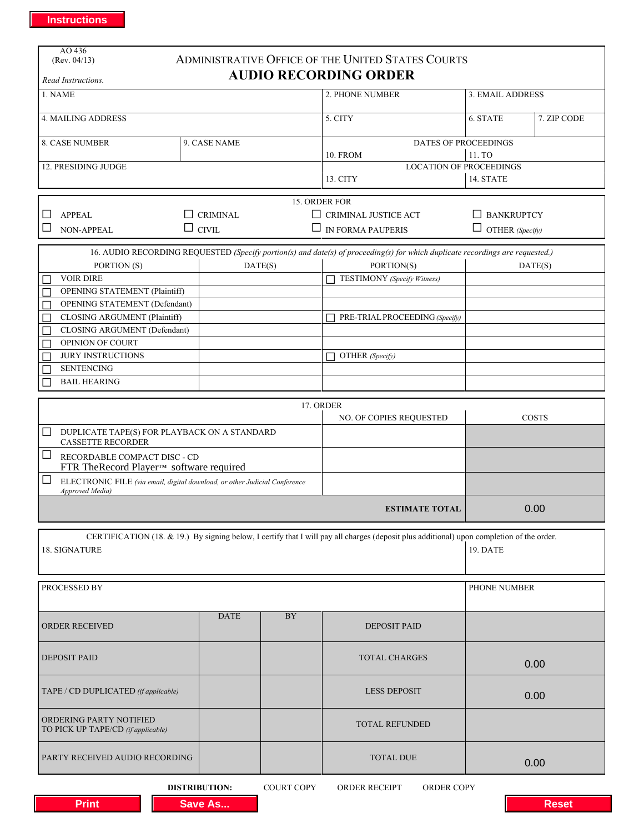| AO 436                                                                                                                        |                      |                   |                                                                                                                                           |                        |              |
|-------------------------------------------------------------------------------------------------------------------------------|----------------------|-------------------|-------------------------------------------------------------------------------------------------------------------------------------------|------------------------|--------------|
| (Rev. 04/13)                                                                                                                  |                      |                   | ADMINISTRATIVE OFFICE OF THE UNITED STATES COURTS                                                                                         |                        |              |
| Read Instructions.                                                                                                            |                      |                   | <b>AUDIO RECORDING ORDER</b>                                                                                                              |                        |              |
| 1. NAME                                                                                                                       |                      |                   | 2. PHONE NUMBER                                                                                                                           | 3. EMAIL ADDRESS       |              |
|                                                                                                                               |                      |                   |                                                                                                                                           |                        |              |
| <b>4. MAILING ADDRESS</b>                                                                                                     |                      |                   | 5. CITY                                                                                                                                   | 6. STATE               | 7. ZIP CODE  |
| <b>8. CASE NUMBER</b><br>9. CASE NAME                                                                                         |                      |                   | DATES OF PROCEEDINGS                                                                                                                      |                        |              |
|                                                                                                                               |                      |                   | <b>10. FROM</b>                                                                                                                           | 11. TO                 |              |
| 12. PRESIDING JUDGE                                                                                                           |                      |                   | <b>LOCATION OF PROCEEDINGS</b>                                                                                                            |                        |              |
|                                                                                                                               |                      |                   | 14. STATE<br>13. CITY                                                                                                                     |                        |              |
|                                                                                                                               |                      |                   | 15. ORDER FOR                                                                                                                             |                        |              |
| <b>APPEAL</b><br><b>CRIMINAL</b>                                                                                              |                      |                   | $\Box$ CRIMINAL JUSTICE ACT<br>$\Box$ BANKRUPTCY                                                                                          |                        |              |
| $\mathbf{L}$<br><b>NON-APPEAL</b>                                                                                             | $\Box$ civil         |                   | $\Box$ IN FORMA PAUPERIS                                                                                                                  | $\Box$ OTHER (Specify) |              |
|                                                                                                                               |                      |                   |                                                                                                                                           |                        |              |
| 16. AUDIO RECORDING REQUESTED (Specify portion(s) and date(s) of proceeding(s) for which duplicate recordings are requested.) |                      |                   |                                                                                                                                           |                        |              |
| PORTION (S)<br><b>VOIR DIRE</b>                                                                                               |                      | DATE(S)           | PORTION(S)<br>TESTIMONY (Specify Witness)                                                                                                 | DATE(S)                |              |
| <b>OPENING STATEMENT (Plaintiff)</b>                                                                                          |                      |                   |                                                                                                                                           |                        |              |
| <b>OPENING STATEMENT (Defendant)</b>                                                                                          |                      |                   |                                                                                                                                           |                        |              |
| <b>CLOSING ARGUMENT (Plaintiff)</b>                                                                                           |                      |                   | PRE-TRIAL PROCEEDING (Specify)                                                                                                            |                        |              |
| CLOSING ARGUMENT (Defendant)                                                                                                  |                      |                   |                                                                                                                                           |                        |              |
| OPINION OF COURT                                                                                                              |                      |                   |                                                                                                                                           |                        |              |
| <b>JURY INSTRUCTIONS</b>                                                                                                      |                      |                   | OTHER (Specify)                                                                                                                           |                        |              |
| <b>SENTENCING</b><br><b>BAIL HEARING</b>                                                                                      |                      |                   |                                                                                                                                           |                        |              |
|                                                                                                                               |                      |                   |                                                                                                                                           |                        |              |
|                                                                                                                               |                      |                   | 17. ORDER                                                                                                                                 |                        |              |
| NO. OF COPIES REQUESTED                                                                                                       |                      |                   |                                                                                                                                           |                        | <b>COSTS</b> |
| DUPLICATE TAPE(S) FOR PLAYBACK ON A STANDARD<br>$\Box$                                                                        |                      |                   |                                                                                                                                           |                        |              |
| <b>CASSETTE RECORDER</b><br>⊔<br>RECORDABLE COMPACT DISC - CD                                                                 |                      |                   |                                                                                                                                           |                        |              |
| FTR TheRecord Player™ software required                                                                                       |                      |                   |                                                                                                                                           |                        |              |
| ⊔<br>ELECTRONIC FILE (via email, digital download, or other Judicial Conference                                               |                      |                   |                                                                                                                                           |                        |              |
| Approved Media)                                                                                                               |                      |                   |                                                                                                                                           |                        |              |
| <b>ESTIMATE TOTAL</b>                                                                                                         |                      |                   |                                                                                                                                           | 0.00                   |              |
|                                                                                                                               |                      |                   | CERTIFICATION (18. & 19.) By signing below, I certify that I will pay all charges (deposit plus additional) upon completion of the order. |                        |              |
| 18. SIGNATURE                                                                                                                 |                      |                   |                                                                                                                                           |                        |              |
|                                                                                                                               |                      |                   |                                                                                                                                           |                        |              |
|                                                                                                                               |                      |                   |                                                                                                                                           |                        |              |
| PROCESSED BY                                                                                                                  |                      |                   |                                                                                                                                           | PHONE NUMBER           |              |
|                                                                                                                               | <b>DATE</b>          | <b>BY</b>         |                                                                                                                                           |                        |              |
| <b>ORDER RECEIVED</b>                                                                                                         |                      |                   | <b>DEPOSIT PAID</b>                                                                                                                       |                        |              |
|                                                                                                                               |                      |                   |                                                                                                                                           |                        |              |
| <b>DEPOSIT PAID</b>                                                                                                           |                      |                   | <b>TOTAL CHARGES</b>                                                                                                                      |                        |              |
|                                                                                                                               |                      |                   |                                                                                                                                           |                        | 0.00         |
| TAPE / CD DUPLICATED (if applicable)                                                                                          |                      |                   | <b>LESS DEPOSIT</b>                                                                                                                       |                        |              |
|                                                                                                                               |                      |                   |                                                                                                                                           |                        | 0.00         |
| ORDERING PARTY NOTIFIED                                                                                                       |                      |                   |                                                                                                                                           |                        |              |
| TO PICK UP TAPE/CD (if applicable)                                                                                            |                      |                   | <b>TOTAL REFUNDED</b>                                                                                                                     |                        |              |
|                                                                                                                               |                      |                   |                                                                                                                                           |                        |              |
| PARTY RECEIVED AUDIO RECORDING                                                                                                |                      |                   | <b>TOTAL DUE</b>                                                                                                                          |                        | 0.00         |
|                                                                                                                               |                      |                   |                                                                                                                                           |                        |              |
|                                                                                                                               | <b>DISTRIBUTION:</b> | <b>COURT COPY</b> | ORDER RECEIPT<br>ORDER COPY                                                                                                               |                        |              |
| <b>Print</b>                                                                                                                  | <b>Save As</b>       |                   |                                                                                                                                           |                        | <b>Reset</b> |